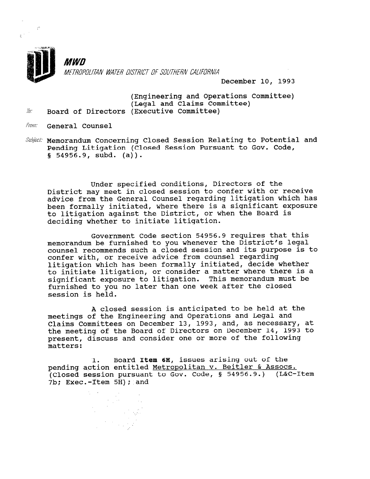

**MWN** METROPOLITAN WATER DISTRICT OF SOUTHERN CALIFORNIA

December 10, 1993

(Engineering and Operations Committee) (Legal and Claims Committee)<br>2. Board of Directors (Executive Committee)

From: General Counsel

Subject: Memorandum Concerning Closed Session Relating to Potential and Pending Litigation (Closed Session Pursuant to Gov. Code,  $$54956.9, subd. (a)$ .

Under specified conditions, Directors of the District may meet in closed session to confer with or receive advice from the General Counsel regarding litigation which has been formally initiated, where there is a significant exposure to litigation against the District, or when the Board is deciding whether to initiate litigation.

Government Code section 54956.9 requires that this memorandum be furnished to you whenever the District's legal counsel recommends such a closed session and its purpose is to confer with, or receive advice from counsel regarding litigation which has been formally initiated, decide whether to initiate litigation, or consider a matter where there is a significant exposure to litigation. This memorandum must be furnished to you no later than one week after the closed session is held.

A closed session is anticipated to be held at the meetings of the Engineering and Operations and Legal and Claims Committees on December 13, 1993, and, as necessary, at the meeting of the Board of Directors on December 14, 1993 to present, discuss and consider one or more of the following matters:

1. Board Item 6H, issues arising out of the pending action entitled Metropolitan v. Beitler & Assocs. pending action entitied <u>metropolitan v. beltier « Assocs.</u><br>(closed session pursuant to Cov. Code, 5 54956.9.), (LCC-Ite The Exec. Then 5H); and